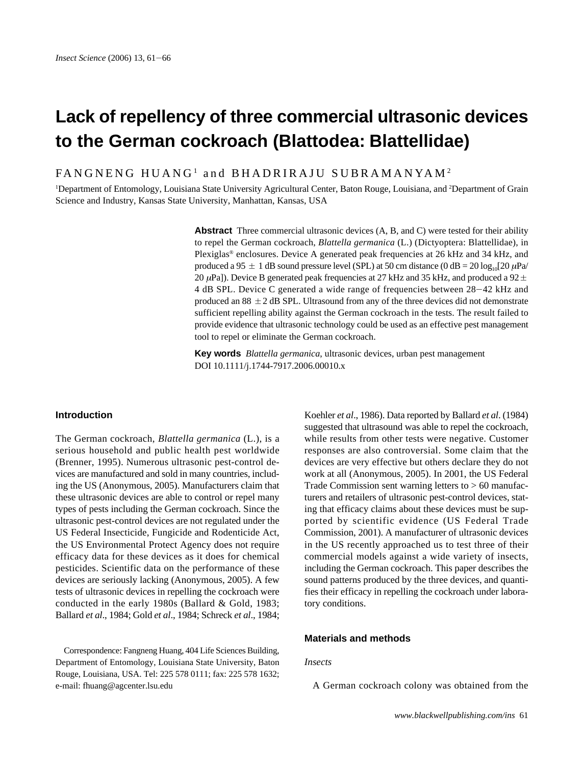# **Lack of repellency of three commercial ultrasonic devices to the German cockroach (Blattodea: Blattellidae)**

FANGNENG HUANG<sup>1</sup> and BHADRIRAJU SUBRAMANYAM<sup>2</sup>

<sup>1</sup>Department of Entomology, Louisiana State University Agricultural Center, Baton Rouge, Louisiana, and <sup>2</sup>Department of Grain Science and Industry, Kansas State University, Manhattan, Kansas, USA

> **Abstract** Three commercial ultrasonic devices (A, B, and C) were tested for their ability to repel the German cockroach, *Blattella germanica* (L.) (Dictyoptera: Blattellidae), in Plexiglas® enclosures. Device A generated peak frequencies at 26 kHz and 34 kHz, and produced a 95  $\pm$  1 dB sound pressure level (SPL) at 50 cm distance (0 dB = 20 log<sub>10</sub>[20  $\mu$ Pa/ 20  $\mu$ Pa]). Device B generated peak frequencies at 27 kHz and 35 kHz, and produced a 92  $\pm$ 4 dB SPL. Device C generated a wide range of frequencies between 28-42 kHz and produced an 88  $\pm$  2 dB SPL. Ultrasound from any of the three devices did not demonstrate sufficient repelling ability against the German cockroach in the tests. The result failed to provide evidence that ultrasonic technology could be used as an effective pest management tool to repel or eliminate the German cockroach.

**Key words** *Blattella germanica*, ultrasonic devices, urban pest management DOI 10.1111/j.1744-7917.2006.00010.x

### **Introduction**

The German cockroach, *Blattella germanica* (L.), is a serious household and public health pest worldwide (Brenner, 1995). Numerous ultrasonic pest-control devices are manufactured and sold in many countries, including the US (Anonymous, 2005). Manufacturers claim that these ultrasonic devices are able to control or repel many types of pests including the German cockroach. Since the ultrasonic pest-control devices are not regulated under the US Federal Insecticide, Fungicide and Rodenticide Act, the US Environmental Protect Agency does not require efficacy data for these devices as it does for chemical pesticides. Scientific data on the performance of these devices are seriously lacking (Anonymous, 2005). A few tests of ultrasonic devices in repelling the cockroach were conducted in the early 1980s (Ballard & Gold, 1983; Ballard *et al*., 1984; Gold *et al*., 1984; Schreck *et al*., 1984;

Correspondence: Fangneng Huang, 404 Life Sciences Building, Department of Entomology, Louisiana State University, Baton Rouge, Louisiana, USA. Tel: 225 578 0111; fax: 225 578 1632; e-mail: fhuang@agcenter.lsu.edu

Koehler *et al*., 1986). Data reported by Ballard *et al*. (1984) suggested that ultrasound was able to repel the cockroach, while results from other tests were negative. Customer responses are also controversial. Some claim that the devices are very effective but others declare they do not work at all (Anonymous, 2005). In 2001, the US Federal Trade Commission sent warning letters to  $> 60$  manufacturers and retailers of ultrasonic pest-control devices, stating that efficacy claims about these devices must be supported by scientific evidence (US Federal Trade Commission, 2001). A manufacturer of ultrasonic devices in the US recently approached us to test three of their commercial models against a wide variety of insects, including the German cockroach. This paper describes the sound patterns produced by the three devices, and quantifies their efficacy in repelling the cockroach under laboratory conditions.

## **Materials and methods**

## *Insects*

A German cockroach colony was obtained from the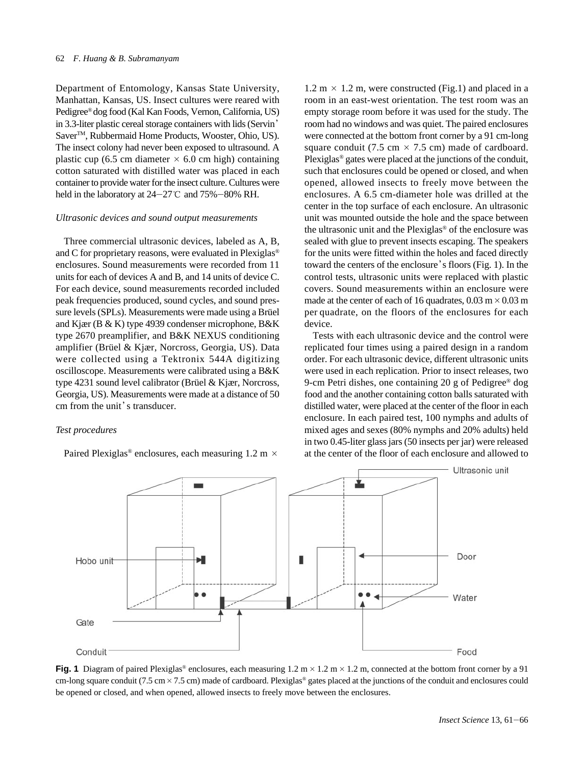#### 62 *F. Huang & B. Subramanyam*

Department of Entomology, Kansas State University, Manhattan, Kansas, US. Insect cultures were reared with Pedigree® dog food (Kal Kan Foods, Vernon, California, US) in 3.3-liter plastic cereal storage containers with lids (Servin Saver<sup>™</sup>, Rubbermaid Home Products, Wooster, Ohio, US). The insect colony had never been exposed to ultrasound. A plastic cup (6.5 cm diameter  $\times$  6.0 cm high) containing cotton saturated with distilled water was placed in each container to provide water for the insect culture. Cultures were held in the laboratory at  $24-27$ °C and  $75% -80%$  RH.

#### *Ultrasonic devices and sound output measurements*

Three commercial ultrasonic devices, labeled as A, B, and C for proprietary reasons, were evaluated in Plexiglas® enclosures. Sound measurements were recorded from 11 units for each of devices A and B, and 14 units of device C. For each device, sound measurements recorded included peak frequencies produced, sound cycles, and sound pressure levels (SPLs). Measurements were made using a Brüel and Kjær (B & K) type 4939 condenser microphone, B&K type 2670 preamplifier, and B&K NEXUS conditioning amplifier (Brüel & Kjær, Norcross, Georgia, US). Data were collected using a Tektronix 544A digitizing oscilloscope. Measurements were calibrated using a B&K type 4231 sound level calibrator (Brüel & Kjær, Norcross, Georgia, US). Measurements were made at a distance of 50 cm from the unit's transducer.

## *Test procedures*

Paired Plexiglas<sup>®</sup> enclosures, each measuring  $1.2 \text{ m} \times$ 

 $1.2 \text{ m} \times 1.2 \text{ m}$ , were constructed (Fig.1) and placed in a room in an east-west orientation. The test room was an empty storage room before it was used for the study. The room had no windows and was quiet. The paired enclosures were connected at the bottom front corner by a 91 cm-long square conduit (7.5 cm  $\times$  7.5 cm) made of cardboard. Plexiglas® gates were placed at the junctions of the conduit, such that enclosures could be opened or closed, and when opened, allowed insects to freely move between the enclosures. A 6.5 cm-diameter hole was drilled at the center in the top surface of each enclosure. An ultrasonic unit was mounted outside the hole and the space between the ultrasonic unit and the Plexiglas® of the enclosure was sealed with glue to prevent insects escaping. The speakers for the units were fitted within the holes and faced directly toward the centers of the enclosure's floors (Fig. 1). In the control tests, ultrasonic units were replaced with plastic covers. Sound measurements within an enclosure were made at the center of each of 16 quadrates,  $0.03 \text{ m} \times 0.03 \text{ m}$ per quadrate, on the floors of the enclosures for each device.

Tests with each ultrasonic device and the control were replicated four times using a paired design in a random order. For each ultrasonic device, different ultrasonic units were used in each replication. Prior to insect releases, two 9-cm Petri dishes, one containing 20 g of Pedigree® dog food and the another containing cotton balls saturated with distilled water, were placed at the center of the floor in each enclosure. In each paired test, 100 nymphs and adults of mixed ages and sexes (80% nymphs and 20% adults) held in two 0.45-liter glass jars (50 insects per jar) were released at the center of the floor of each enclosure and allowed to



**Fig. 1** Diagram of paired Plexiglas<sup>®</sup> enclosures, each measuring  $1.2 \text{ m} \times 1.2 \text{ m} \times 1.2 \text{ m}$ , connected at the bottom front corner by a 91 cm-long square conduit (7.5 cm  $\times$  7.5 cm) made of cardboard. Plexiglas<sup>®</sup> gates placed at the junctions of the conduit and enclosures could be opened or closed, and when opened, allowed insects to freely move between the enclosures.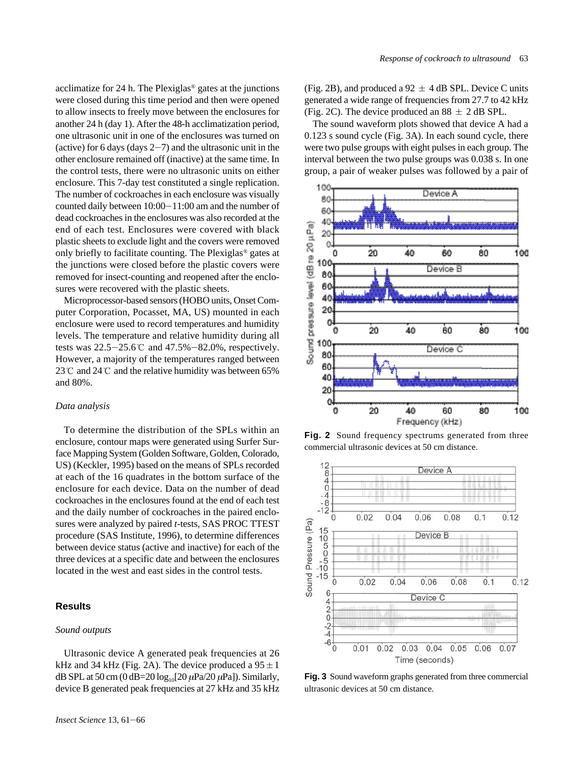acclimatize for 24 h. The Plexiglas® gates at the junctions were closed during this time period and then were opened to allow insects to freely move between the enclosures for another 24 h (day 1). After the 48-h acclimatization period, one ultrasonic unit in one of the enclosures was turned on (active) for 6 days (days  $2-7$ ) and the ultrasonic unit in the other enclosure remained off (inactive) at the same time. In the control tests, there were no ultrasonic units on either enclosure. This 7-day test constituted a single replication. The number of cockroaches in each enclosure was visually counted daily between  $10:00-11:00$  am and the number of dead cockroaches in the enclosures was also recorded at the end of each test. Enclosures were covered with black plastic sheets to exclude light and the covers were removed only briefly to facilitate counting. The Plexiglas® gates at the junctions were closed before the plastic covers were removed for insect-counting and reopened after the enclosures were recovered with the plastic sheets.

Microprocessor-based sensors (HOBO units, Onset Computer Corporation, Pocasset, MA, US) mounted in each enclosure were used to record temperatures and humidity levels. The temperature and relative humidity during all tests was  $22.5-25.6$  °C and  $47.5%-82.0%$ , respectively. However, a majority of the temperatures ranged between 23  $\degree$  and 24  $\degree$  and the relative humidity was between 65% and 80%.

#### *Data analysis*

To determine the distribution of the SPLs within an enclosure, contour maps were generated using Surfer Surface Mapping System (Golden Software, Golden, Colorado, US) (Keckler, 1995) based on the means of SPLs recorded at each of the 16 quadrates in the bottom surface of the enclosure for each device. Data on the number of dead cockroaches in the enclosures found at the end of each test and the daily number of cockroaches in the paired enclosures were analyzed by paired *t*-tests, SAS PROC TTEST procedure (SAS Institute, 1996), to determine differences between device status (active and inactive) for each of the three devices at a specific date and between the enclosures located in the west and east sides in the control tests.

# **Results**

## *Sound outputs*

Ultrasonic device A generated peak frequencies at 26 kHz and 34 kHz (Fig. 2A). The device produced a  $95 \pm 1$ dB SPL at 50 cm (0 dB=20  $log_{10}[20 \mu Pa/20 \mu Pa]$ ). Similarly, device B generated peak frequencies at 27 kHz and 35 kHz (Fig. 2B), and produced a 92  $\pm$  4 dB SPL. Device C units generated a wide range of frequencies from 27.7 to 42 kHz (Fig. 2C). The device produced an  $88 \pm 2$  dB SPL.

The sound waveform plots showed that device A had a 0.123 s sound cycle (Fig. 3A). In each sound cycle, there were two pulse groups with eight pulses in each group. The interval between the two pulse groups was 0.038 s. In one group, a pair of weaker pulses was followed by a pair of



Fig. 2 Sound frequency spectrums generated from three commercial ultrasonic devices at 50 cm distance.



**Fig. 3** Sound waveform graphs generated from three commercial ultrasonic devices at 50 cm distance.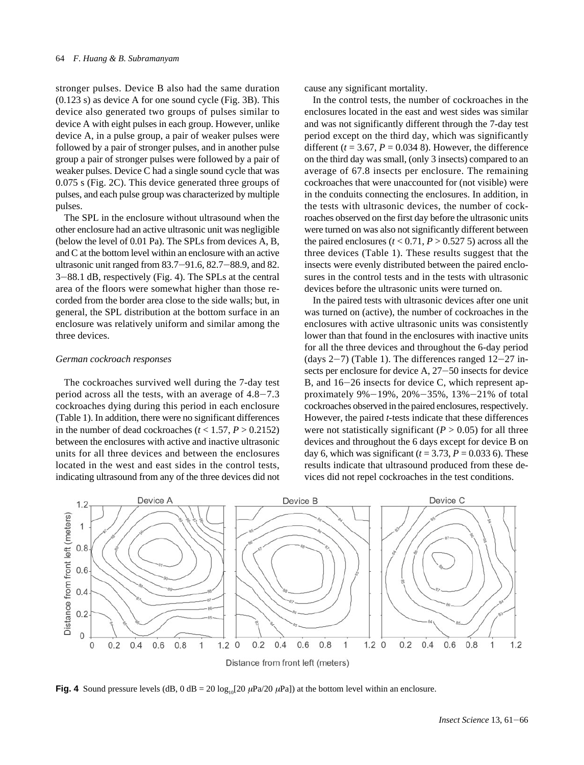stronger pulses. Device B also had the same duration (0.123 s) as device A for one sound cycle (Fig. 3B). This device also generated two groups of pulses similar to device A with eight pulses in each group. However, unlike device A, in a pulse group, a pair of weaker pulses were followed by a pair of stronger pulses, and in another pulse group a pair of stronger pulses were followed by a pair of weaker pulses. Device C had a single sound cycle that was 0.075 s (Fig. 2C). This device generated three groups of pulses, and each pulse group was characterized by multiple pulses.

The SPL in the enclosure without ultrasound when the other enclosure had an active ultrasonic unit was negligible (below the level of 0.01 Pa). The SPLs from devices A, B, and C at the bottom level within an enclosure with an active ultrasonic unit ranged from  $83.7 - 91.6$ ,  $82.7 - 88.9$ , and  $82$ .  $3-88.1$  dB, respectively (Fig. 4). The SPLs at the central area of the floors were somewhat higher than those recorded from the border area close to the side walls; but, in general, the SPL distribution at the bottom surface in an enclosure was relatively uniform and similar among the three devices.

## *German cockroach responses*

The cockroaches survived well during the 7-day test period across all the tests, with an average of  $4.8-7.3$ cockroaches dying during this period in each enclosure (Table 1). In addition, there were no significant differences in the number of dead cockroaches ( $t < 1.57$ ,  $P > 0.2152$ ) between the enclosures with active and inactive ultrasonic units for all three devices and between the enclosures located in the west and east sides in the control tests, indicating ultrasound from any of the three devices did not cause any significant mortality.

In the control tests, the number of cockroaches in the enclosures located in the east and west sides was similar and was not significantly different through the 7-day test period except on the third day, which was significantly different ( $t = 3.67$ ,  $P = 0.034$  8). However, the difference on the third day was small, (only 3 insects) compared to an average of 67.8 insects per enclosure. The remaining cockroaches that were unaccounted for (not visible) were in the conduits connecting the enclosures. In addition, in the tests with ultrasonic devices, the number of cockroaches observed on the first day before the ultrasonic units were turned on was also not significantly different between the paired enclosures  $(t < 0.71, P > 0.527, S)$  across all the three devices (Table 1). These results suggest that the insects were evenly distributed between the paired enclosures in the control tests and in the tests with ultrasonic devices before the ultrasonic units were turned on.

In the paired tests with ultrasonic devices after one unit was turned on (active), the number of cockroaches in the enclosures with active ultrasonic units was consistently lower than that found in the enclosures with inactive units for all the three devices and throughout the 6-day period (days  $2-7$ ) (Table 1). The differences ranged  $12-27$  insects per enclosure for device  $A$ ,  $27-50$  insects for device B, and  $16-26$  insects for device C, which represent approximately 9% $-19\%$ , 20% $-35\%$ , 13% $-21\%$  of total cockroaches observed in the paired enclosures, respectively. However, the paired *t*-tests indicate that these differences were not statistically significant  $(P > 0.05)$  for all three devices and throughout the 6 days except for device B on day 6, which was significant  $(t = 3.73, P = 0.033, 6)$ . These results indicate that ultrasound produced from these devices did not repel cockroaches in the test conditions.



**Fig. 4** Sound pressure levels (dB, 0 dB = 20 log<sub>10</sub>[20  $\mu$ Pa/20  $\mu$ Pa]) at the bottom level within an enclosure.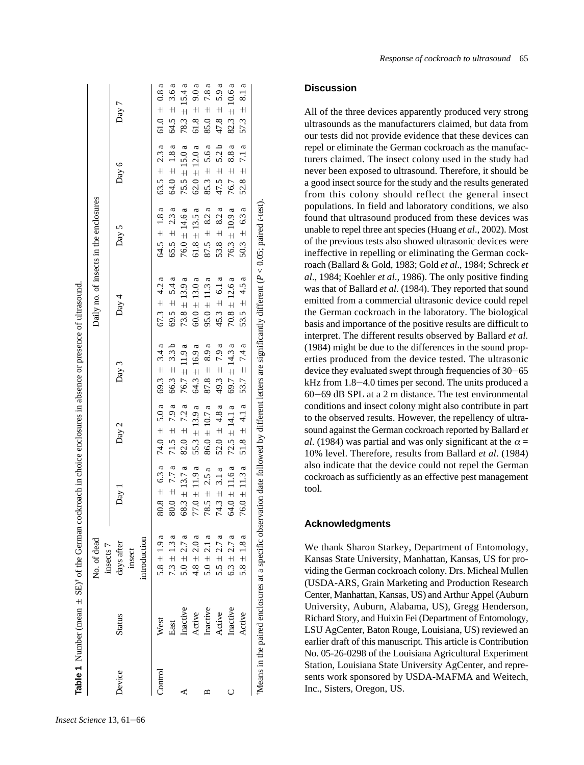|         |               | No. of dead<br>insects 7             |                   |                   |                   |                   | Daily no. of insects in the enclosures |                   |                   |
|---------|---------------|--------------------------------------|-------------------|-------------------|-------------------|-------------------|----------------------------------------|-------------------|-------------------|
| Device  | <b>Status</b> | introduction<br>days after<br>insect | Day 1             | Day 2             | Day 3             | Day 4             | Day 5                                  | Day 6             | Day 7             |
| Control | West          | $5.8 \pm 1.9 a$                      | $80.8 \pm 6.3 a$  | 74.0 $\pm$ 5.0 a  | 69.3 $\pm$ 3.4 a  | $67.3 \pm 4.2 a$  | 64.5 $\pm$ 1.8 a                       | 63.5 $\pm$ 2.3 a  | 61.0 $\pm$ 0.8 a  |
|         | East          | $7.3 \pm 1.3$ a                      | $80.0 \pm 7.7 a$  | $71.5 \pm 7.9a$   | $66.3 \pm 3.3 b$  | 69.5 $\pm$ 5.4 a  | $65.5 \pm 2.3 a$                       | 64.0 $\pm$ 1.8 a  | 64.5 $\pm$ 3.6 a  |
| ⋖       | Inactive      | $5.0 \pm 2.7 a$                      | $68.3 \pm 13.7 a$ | $82.0 \pm 7.2 a$  | 76.7 $\pm$ 11.9 a | $73.8 \pm 13.9 a$ | $76.0 \pm 14.6 a$                      | $75.5 \pm 15.0 a$ | 78.3 $\pm$ 15.4 a |
|         | Active        | $4.8 \pm 2.0 a$                      | $77.0 \pm 11.9 a$ | $55.3 \pm 13.9 a$ | $64.3 \pm 16.9 a$ | $60.0 \pm 13.0 a$ | $61.8 \pm 13.5 a$                      | $62.0 \pm 12.0 a$ | $61.8 \pm 9.0 a$  |
| ≃       | Inactive      | $5.0 \pm 2.1 a$                      | $78.5 \pm 2.5 a$  | $86.0 \pm 10.7$ a | $87.8 \pm 8.9 a$  | $95.0 \pm 11.3 a$ | $87.5 \pm 8.2 a$                       | $85.3 \pm 5.6 a$  | $85.0 \pm 7.8a$   |
|         | Active        | 5.5 $\pm$ 2.7 a                      | $74.3 \pm 3.1 a$  | 52.0 $\pm$ 4.8 a  | 49.3 $\pm$ 7.9 a  | $45.3 \pm 6.1 a$  | 53.8 $\pm$ 8.2 a                       | $47.5 \pm 5.2 b$  | $47.8 \pm 5.9 a$  |
| C       | Inactive      | $6.3 \pm 2.7 a$                      | 64.0 $\pm$ 11.6 a | $72.5 \pm 14.1$ a | 69.7 $\pm$ 14.3 a | $70.8 \pm 12.6 a$ | $76.3 \pm 10.9 a$                      | 8.8a<br>76.7 ±    | $82.3 \pm 10.6 a$ |
|         | Active        | $5.8 \pm 1.8$ a                      | $76.0 \pm 11.3 a$ | 51.8 $\pm$ 4.1 a  | 53.7 $\pm$ 7.4 a  | 53.5 $\pm$ 4.5 a  | $50.3 \pm 6.3 a$                       | 52.8 $\pm$ 7.1 a  | 57.3 $\pm$ 8.1 a  |

## **Discussion**

All of the three devices apparently produced very strong ultrasounds as the manufacturers claimed, but data from our tests did not provide evidence that these devices can repel or eliminate the German cockroach as the manufacturers claimed. The insect colony used in the study had never been exposed to ultrasound. Therefore, it should be a good insect source for the study and the results generated from this colony should reflect the general insect populations. In field and laboratory conditions, we also found that ultrasound produced from these devices was unable to repel three ant species (Huang *et al*., 2002). Most of the previous tests also showed ultrasonic devices were ineffective in repelling or eliminating the German cockroach (Ballard & Gold, 1983; Gold *et al*., 1984; Schreck *et al*., 1984; Koehler *et al*., 1986). The only positive finding was that of Ballard *et al*. (1984). They reported that sound emitted from a commercial ultrasonic device could repel the German cockroach in the laboratory. The biological basis and importance of the positive results are difficult to interpret. The different results observed by Ballard *et al.* (1984) might be due to the differences in the sound properties produced from the device tested. The ultrasonic device they evaluated swept through frequencies of 30-65 kHz from 1.8-4.0 times per second. The units produced a 60 J69 dB SPL at a 2 m distance. The test environmental conditions and insect colony might also contribute in part to the observed results. However, the repellency of ultrasound against the German cockroach reported by Ballard *et al*. (1984) was partial and was only significant at the  $\alpha =$ 10% level. Therefore, results from Ballard *et al*. (1984) also indicate that the device could not repel the German cockroach as sufficiently as an effective pest management tool.

## **Acknowledgments**

We thank Sharon Starkey, Department of Entomology, Kansas State University, Manhattan, Kansas, US for providing the German cockroach colony. Drs. Micheal Mullen (USDA-ARS, Grain Marketing and Production Research Center, Manhattan, Kansas, US) and Arthur Appel (Auburn University, Auburn, Alabama, US), Gregg Henderson, Richard Story, and Huixin Fei (Department of Entomology, LSU AgCenter, Baton Rouge, Louisiana, US) reviewed an earlier draft of this manuscript. This article is Contribution No. 05-26-0298 of the Louisiana Agricultural Experiment Station, Louisiana State University AgCenter, and represents work sponsored by USDA-MAFMA and Weitech, Inc., Sisters, Oregon, US.